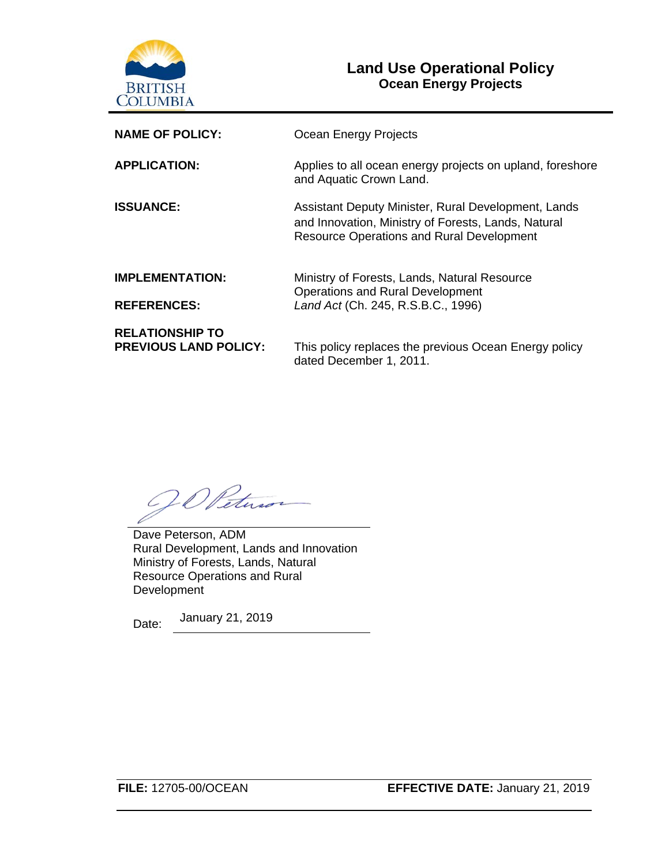

# **Land Use Operational Policy Ocean Energy Projects**

| <b>NAME OF POLICY:</b>                                 | Ocean Energy Projects                                                                                                                                          |
|--------------------------------------------------------|----------------------------------------------------------------------------------------------------------------------------------------------------------------|
| <b>APPLICATION:</b>                                    | Applies to all ocean energy projects on upland, foreshore<br>and Aquatic Crown Land.                                                                           |
| <b>ISSUANCE:</b>                                       | Assistant Deputy Minister, Rural Development, Lands<br>and Innovation, Ministry of Forests, Lands, Natural<br><b>Resource Operations and Rural Development</b> |
| <b>IMPLEMENTATION:</b>                                 | Ministry of Forests, Lands, Natural Resource<br><b>Operations and Rural Development</b>                                                                        |
| <b>REFERENCES:</b>                                     | Land Act (Ch. 245, R.S.B.C., 1996)                                                                                                                             |
| <b>RELATIONSHIP TO</b><br><b>PREVIOUS LAND POLICY:</b> | This policy replaces the previous Ocean Energy policy<br>dated December 1, 2011.                                                                               |

O Petuso

Dave Peterson, ADM Rural Development, Lands and Innovation Ministry of Forests, Lands, Natural Resource Operations and Rural **Development** 

Date: January 21, 2019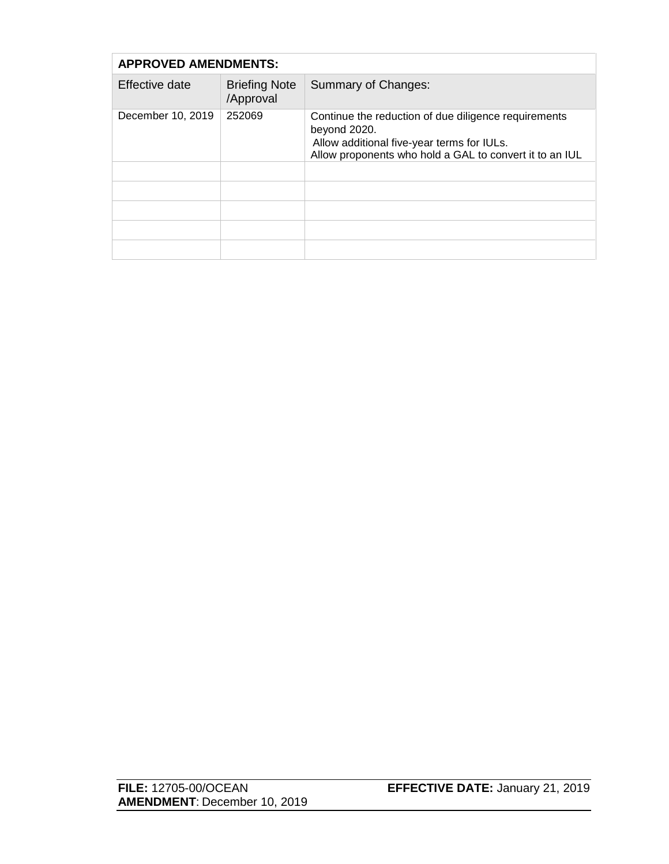| <b>APPROVED AMENDMENTS:</b> |                                   |                                                                                                                                                                               |
|-----------------------------|-----------------------------------|-------------------------------------------------------------------------------------------------------------------------------------------------------------------------------|
| Effective date              | <b>Briefing Note</b><br>/Approval | Summary of Changes:                                                                                                                                                           |
| December 10, 2019           | 252069                            | Continue the reduction of due diligence requirements<br>beyond 2020.<br>Allow additional five-year terms for IULs.<br>Allow proponents who hold a GAL to convert it to an IUL |
|                             |                                   |                                                                                                                                                                               |
|                             |                                   |                                                                                                                                                                               |
|                             |                                   |                                                                                                                                                                               |
|                             |                                   |                                                                                                                                                                               |
|                             |                                   |                                                                                                                                                                               |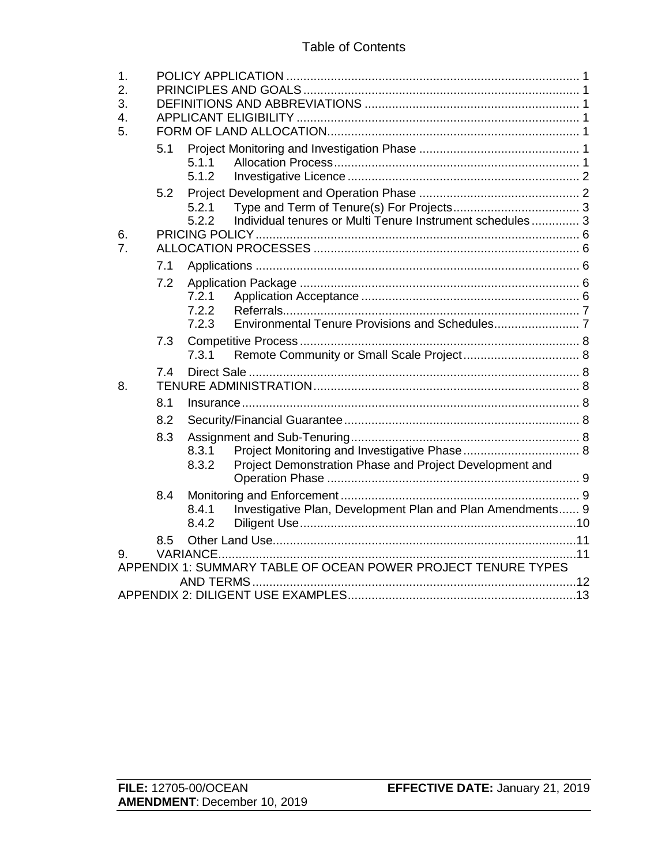## Table of Contents

| 1.<br>2.<br>3.<br>4.<br>5. |     |                         |                                                               |
|----------------------------|-----|-------------------------|---------------------------------------------------------------|
|                            | 5.1 | 5.1.1<br>5.1.2          |                                                               |
|                            | 5.2 | 5.2.1<br>5.2.2          | Individual tenures or Multi Tenure Instrument schedules 3     |
| 6.<br>7.                   |     |                         |                                                               |
|                            | 7.1 |                         |                                                               |
|                            | 7.2 | 7.2.1<br>7.2.2<br>7.2.3 |                                                               |
|                            | 7.3 | 7.3.1                   |                                                               |
| 8.                         | 7.4 |                         |                                                               |
|                            | 8.1 |                         |                                                               |
|                            | 8.2 |                         |                                                               |
|                            | 8.3 | 8.3.1<br>8.3.2          | Project Demonstration Phase and Project Development and       |
|                            | 8.4 | 8.4.1<br>8.4.2          | Investigative Plan, Development Plan and Plan Amendments 9    |
| 9.                         | 8.5 |                         |                                                               |
|                            |     |                         | APPENDIX 1: SUMMARY TABLE OF OCEAN POWER PROJECT TENURE TYPES |
|                            |     |                         |                                                               |

**FILE:** 12705-00/OCEAN **EFFECTIVE DATE:** January 21, 2019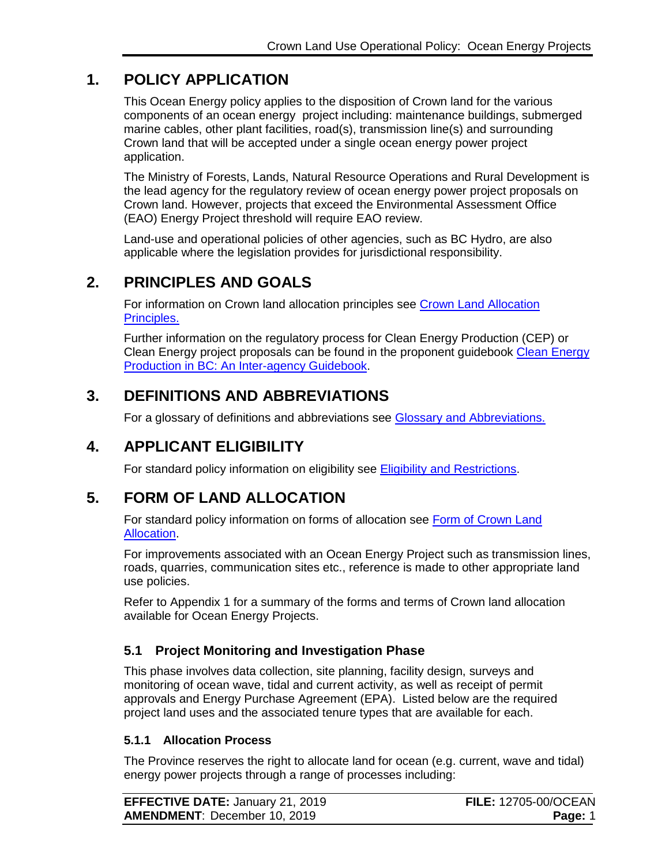# **1. POLICY APPLICATION**

<span id="page-3-0"></span>This Ocean Energy policy applies to the disposition of Crown land for the various components of an ocean energy project including: maintenance buildings, submerged marine cables, other plant facilities, road(s), transmission line(s) and surrounding Crown land that will be accepted under a single ocean energy power project application.

The Ministry of Forests, Lands, Natural Resource Operations and Rural Development is the lead agency for the regulatory review of ocean energy power project proposals on Crown land. However, projects that exceed the Environmental Assessment Office (EAO) Energy Project threshold will require EAO review.

Land-use and operational policies of other agencies, such as BC Hydro, are also applicable where the legislation provides for jurisdictional responsibility.

# **2. PRINCIPLES AND GOALS**

<span id="page-3-1"></span>For information on Crown land allocation principles see [Crown Land Allocation](https://www2.gov.bc.ca/assets/gov/farming-natural-resources-and-industry/natural-resource-use/land-water-use/crown-land/allocation_principles.pdf)  [Principles.](https://www2.gov.bc.ca/assets/gov/farming-natural-resources-and-industry/natural-resource-use/land-water-use/crown-land/allocation_principles.pdf)

Further information on the regulatory process for Clean Energy Production (CEP) or Clean Energy project proposals can be found in the proponent guidebook [Clean Energy](https://www2.gov.bc.ca/assets/gov/farming-natural-resources-and-industry/natural-resource-use/land-water-use/crown-land/land-use-plans-and-objectives/natural-resource-major-projects/major-projects-office/guidebooks/clean-energy-projects/clean_energy_guidebook.pdf)  [Production in BC: An Inter-agency Guidebook.](https://www2.gov.bc.ca/assets/gov/farming-natural-resources-and-industry/natural-resource-use/land-water-use/crown-land/land-use-plans-and-objectives/natural-resource-major-projects/major-projects-office/guidebooks/clean-energy-projects/clean_energy_guidebook.pdf)

# **3. DEFINITIONS AND ABBREVIATIONS**

<span id="page-3-2"></span>For a glossary of definitions and abbreviations see [Glossary](http://www2.gov.bc.ca/assets/gov/farming-natural-resources-and-industry/natural-resource-use/land-water-use/crown-land/eligibility.pdf) and Abbreviations.

# **4. APPLICANT ELIGIBILITY**

<span id="page-3-3"></span>For standard policy information on eligibility see [Eligibility and Restrictions.](http://www2.gov.bc.ca/assets/gov/farming-natural-resources-and-industry/natural-resource-use/land-water-use/crown-land/eligibility.pdf)

# **5. FORM OF LAND ALLOCATION**

<span id="page-3-4"></span>For standard policy information on forms of allocation see [Form of Crown Land](http://www2.gov.bc.ca/assets/gov/farming-natural-resources-and-industry/natural-resource-use/land-water-use/crown-land/form_of_allocation.pdf)  [Allocation.](http://www2.gov.bc.ca/assets/gov/farming-natural-resources-and-industry/natural-resource-use/land-water-use/crown-land/form_of_allocation.pdf)

For improvements associated with an Ocean Energy Project such as transmission lines, roads, quarries, communication sites etc., reference is made to other appropriate land use policies.

Refer to Appendix 1 for a summary of the forms and terms of Crown land allocation available for Ocean Energy Projects.

# <span id="page-3-5"></span>**5.1 Project Monitoring and Investigation Phase**

This phase involves data collection, site planning, facility design, surveys and monitoring of ocean wave, tidal and current activity, as well as receipt of permit approvals and Energy Purchase Agreement (EPA). Listed below are the required project land uses and the associated tenure types that are available for each.

#### <span id="page-3-6"></span>**5.1.1 Allocation Process**

The Province reserves the right to allocate land for ocean (e.g. current, wave and tidal) energy power projects through a range of processes including:

| <b>EFFECTIVE DATE: January 21, 2019</b> | <b>FILE: 12705-00/OCEAN</b> |
|-----------------------------------------|-----------------------------|
| <b>AMENDMENT: December 10, 2019</b>     | Page: 1                     |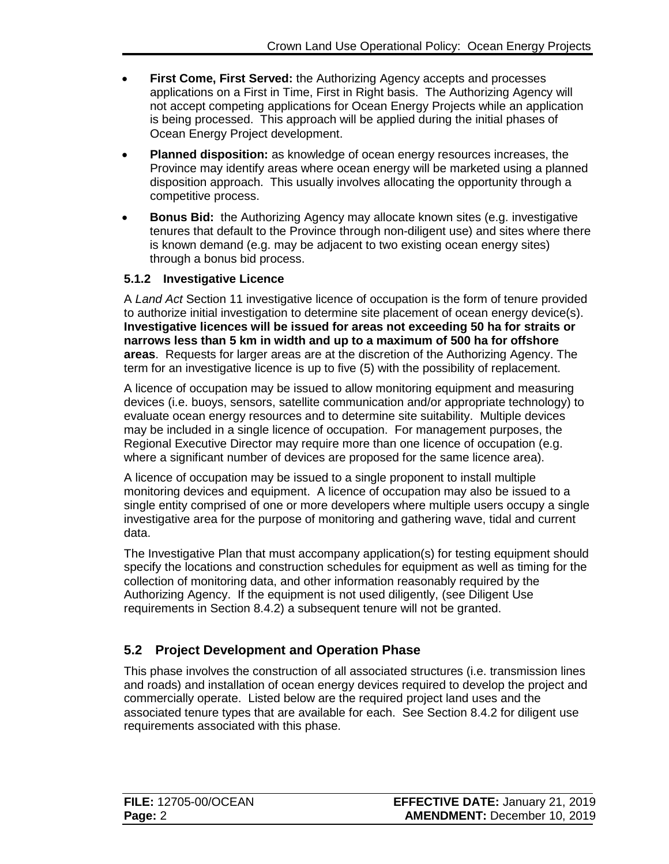- **First Come, First Served:** the Authorizing Agency accepts and processes applications on a First in Time, First in Right basis. The Authorizing Agency will not accept competing applications for Ocean Energy Projects while an application is being processed. This approach will be applied during the initial phases of Ocean Energy Project development.
- **Planned disposition:** as knowledge of ocean energy resources increases, the Province may identify areas where ocean energy will be marketed using a planned disposition approach. This usually involves allocating the opportunity through a competitive process.
- **Bonus Bid:** the Authorizing Agency may allocate known sites (e.g. investigative tenures that default to the Province through non-diligent use) and sites where there is known demand (e.g. may be adjacent to two existing ocean energy sites) through a bonus bid process.

## <span id="page-4-0"></span>**5.1.2 Investigative Licence**

A *Land Act* Section 11 investigative licence of occupation is the form of tenure provided to authorize initial investigation to determine site placement of ocean energy device(s). **Investigative licences will be issued for areas not exceeding 50 ha for straits or narrows less than 5 km in width and up to a maximum of 500 ha for offshore areas**. Requests for larger areas are at the discretion of the Authorizing Agency. The term for an investigative licence is up to five (5) with the possibility of replacement.

A licence of occupation may be issued to allow monitoring equipment and measuring devices (i.e. buoys, sensors, satellite communication and/or appropriate technology) to evaluate ocean energy resources and to determine site suitability. Multiple devices may be included in a single licence of occupation. For management purposes, the Regional Executive Director may require more than one licence of occupation (e.g. where a significant number of devices are proposed for the same licence area).

A licence of occupation may be issued to a single proponent to install multiple monitoring devices and equipment. A licence of occupation may also be issued to a single entity comprised of one or more developers where multiple users occupy a single investigative area for the purpose of monitoring and gathering wave, tidal and current data.

The Investigative Plan that must accompany application(s) for testing equipment should specify the locations and construction schedules for equipment as well as timing for the collection of monitoring data, and other information reasonably required by the Authorizing Agency. If the equipment is not used diligently, (see Diligent Use requirements in Section 8.4.2) a subsequent tenure will not be granted.

# <span id="page-4-1"></span>**5.2 Project Development and Operation Phase**

This phase involves the construction of all associated structures (i.e. transmission lines and roads) and installation of ocean energy devices required to develop the project and commercially operate. Listed below are the required project land uses and the associated tenure types that are available for each. See Section 8.4.2 for diligent use requirements associated with this phase.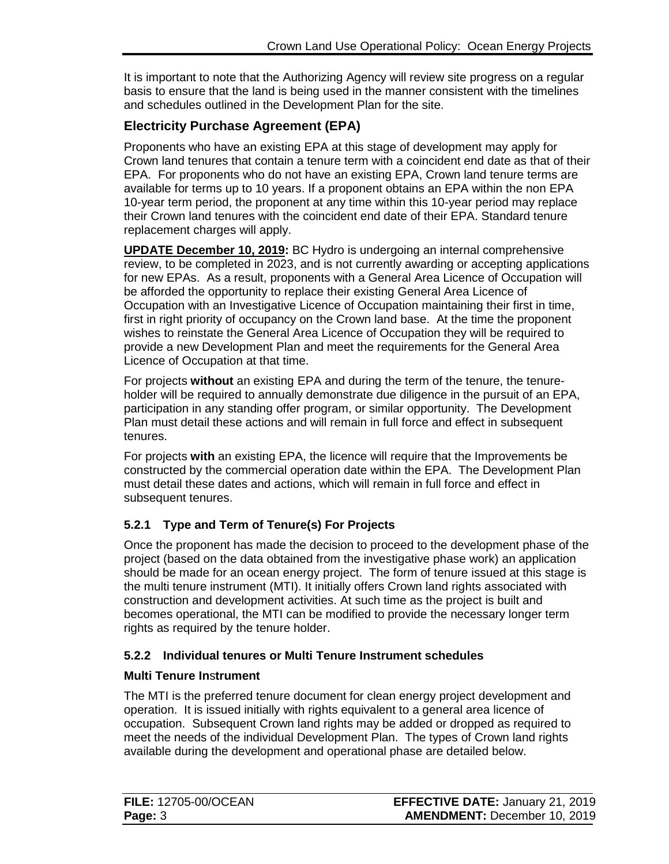It is important to note that the Authorizing Agency will review site progress on a regular basis to ensure that the land is being used in the manner consistent with the timelines and schedules outlined in the Development Plan for the site.

# **Electricity Purchase Agreement (EPA)**

Proponents who have an existing EPA at this stage of development may apply for Crown land tenures that contain a tenure term with a coincident end date as that of their EPA. For proponents who do not have an existing EPA, Crown land tenure terms are available for terms up to 10 years. If a proponent obtains an EPA within the non EPA 10-year term period, the proponent at any time within this 10-year period may replace their Crown land tenures with the coincident end date of their EPA. Standard tenure replacement charges will apply.

**UPDATE December 10, 2019:** BC Hydro is undergoing an internal comprehensive review, to be completed in 2023, and is not currently awarding or accepting applications for new EPAs. As a result, proponents with a General Area Licence of Occupation will be afforded the opportunity to replace their existing General Area Licence of Occupation with an Investigative Licence of Occupation maintaining their first in time, first in right priority of occupancy on the Crown land base. At the time the proponent wishes to reinstate the General Area Licence of Occupation they will be required to provide a new Development Plan and meet the requirements for the General Area Licence of Occupation at that time.

For projects **without** an existing EPA and during the term of the tenure, the tenureholder will be required to annually demonstrate due diligence in the pursuit of an EPA, participation in any standing offer program, or similar opportunity. The Development Plan must detail these actions and will remain in full force and effect in subsequent tenures.

For projects **with** an existing EPA, the licence will require that the Improvements be constructed by the commercial operation date within the EPA. The Development Plan must detail these dates and actions, which will remain in full force and effect in subsequent tenures.

# <span id="page-5-0"></span>**5.2.1 Type and Term of Tenure(s) For Projects**

Once the proponent has made the decision to proceed to the development phase of the project (based on the data obtained from the investigative phase work) an application should be made for an ocean energy project. The form of tenure issued at this stage is the multi tenure instrument (MTI). It initially offers Crown land rights associated with construction and development activities. At such time as the project is built and becomes operational, the MTI can be modified to provide the necessary longer term rights as required by the tenure holder.

# <span id="page-5-1"></span>**5.2.2 Individual tenures or Multi Tenure Instrument schedules**

## **Multi Tenure In**s**trument**

The MTI is the preferred tenure document for clean energy project development and operation. It is issued initially with rights equivalent to a general area licence of occupation. Subsequent Crown land rights may be added or dropped as required to meet the needs of the individual Development Plan. The types of Crown land rights available during the development and operational phase are detailed below.

| <b>FILE: 12705-00/OCEAN</b> | <b>EFFECTIVE DATE: January 21, 2019</b> |
|-----------------------------|-----------------------------------------|
| Page: 3                     | <b>AMENDMENT: December 10, 2019</b>     |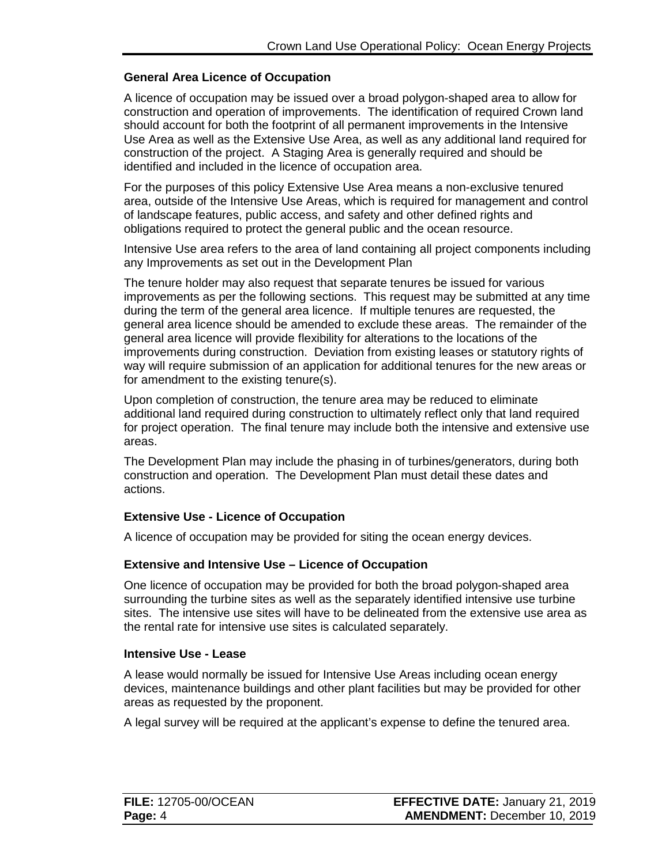#### **General Area Licence of Occupation**

A licence of occupation may be issued over a broad polygon-shaped area to allow for construction and operation of improvements. The identification of required Crown land should account for both the footprint of all permanent improvements in the Intensive Use Area as well as the Extensive Use Area, as well as any additional land required for construction of the project. A Staging Area is generally required and should be identified and included in the licence of occupation area.

For the purposes of this policy Extensive Use Area means a non-exclusive tenured area, outside of the Intensive Use Areas, which is required for management and control of landscape features, public access, and safety and other defined rights and obligations required to protect the general public and the ocean resource.

Intensive Use area refers to the area of land containing all project components including any Improvements as set out in the Development Plan

The tenure holder may also request that separate tenures be issued for various improvements as per the following sections. This request may be submitted at any time during the term of the general area licence. If multiple tenures are requested, the general area licence should be amended to exclude these areas. The remainder of the general area licence will provide flexibility for alterations to the locations of the improvements during construction. Deviation from existing leases or statutory rights of way will require submission of an application for additional tenures for the new areas or for amendment to the existing tenure(s).

Upon completion of construction, the tenure area may be reduced to eliminate additional land required during construction to ultimately reflect only that land required for project operation. The final tenure may include both the intensive and extensive use areas.

The Development Plan may include the phasing in of turbines/generators, during both construction and operation. The Development Plan must detail these dates and actions.

#### **Extensive Use - Licence of Occupation**

A licence of occupation may be provided for siting the ocean energy devices.

#### **Extensive and Intensive Use – Licence of Occupation**

One licence of occupation may be provided for both the broad polygon-shaped area surrounding the turbine sites as well as the separately identified intensive use turbine sites. The intensive use sites will have to be delineated from the extensive use area as the rental rate for intensive use sites is calculated separately.

#### **Intensive Use - Lease**

A lease would normally be issued for Intensive Use Areas including ocean energy devices, maintenance buildings and other plant facilities but may be provided for other areas as requested by the proponent.

A legal survey will be required at the applicant's expense to define the tenured area.

| <b>FILE: 12705-00/OCEAN</b> | <b>EFFECTIVE DATE: January 21, 2019</b> |
|-----------------------------|-----------------------------------------|
| Page: 4                     | <b>AMENDMENT: December 10, 2019</b>     |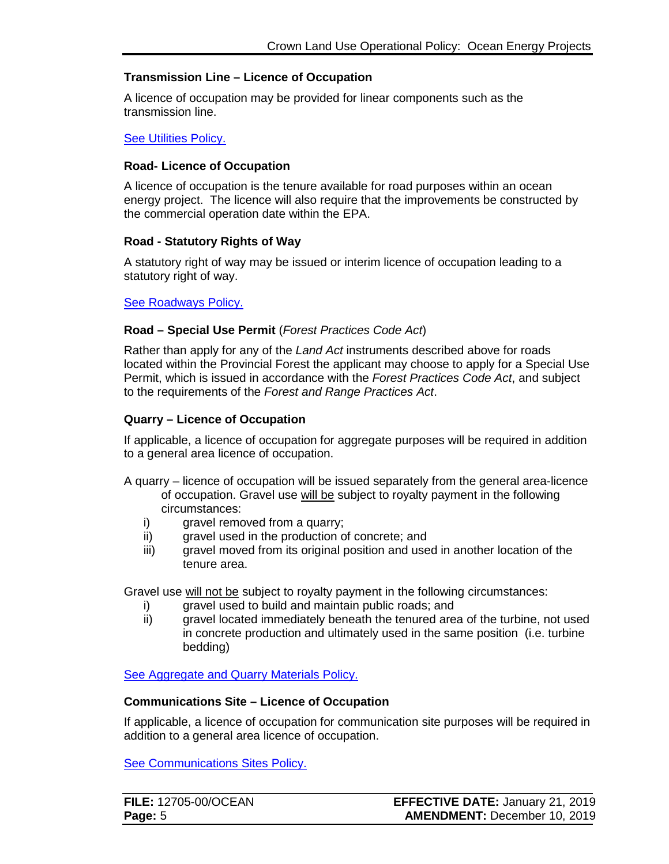#### **Transmission Line – Licence of Occupation**

A licence of occupation may be provided for linear components such as the transmission line.

#### [See Utilities Policy.](https://www2.gov.bc.ca/assets/gov/farming-natural-resources-and-industry/natural-resource-use/land-water-use/crown-land/utilities.pdf)

#### **Road- Licence of Occupation**

A licence of occupation is the tenure available for road purposes within an ocean energy project. The licence will also require that the improvements be constructed by the commercial operation date within the EPA.

#### **Road - Statutory Rights of Way**

A statutory right of way may be issued or interim licence of occupation leading to a statutory right of way.

#### [See Roadways Policy.](https://www2.gov.bc.ca/assets/gov/farming-natural-resources-and-industry/natural-resource-use/land-water-use/crown-land/roadways.pdf)

#### **Road – Special Use Permit** (*Forest Practices Code Act*)

Rather than apply for any of the *Land Act* instruments described above for roads located within the Provincial Forest the applicant may choose to apply for a Special Use Permit, which is issued in accordance with the *Forest Practices Code Act*, and subject to the requirements of the *Forest and Range Practices Act*.

#### **Quarry – Licence of Occupation**

If applicable, a licence of occupation for aggregate purposes will be required in addition to a general area licence of occupation.

- A quarry licence of occupation will be issued separately from the general area-licence of occupation. Gravel use will be subject to royalty payment in the following circumstances:
	- i) gravel removed from a quarry;
	- ii) gravel used in the production of concrete; and
	- iii) gravel moved from its original position and used in another location of the tenure area.

Gravel use will not be subject to royalty payment in the following circumstances:

- i) gravel used to build and maintain public roads; and
- ii) gravel located immediately beneath the tenured area of the turbine, not used in concrete production and ultimately used in the same position (i.e. turbine bedding)

[See Aggregate and Quarry Materials Policy.](https://www2.gov.bc.ca/assets/gov/farming-natural-resources-and-industry/natural-resource-use/land-water-use/crown-land/aggregates.pdf)

#### **Communications Site – Licence of Occupation**

If applicable, a licence of occupation for communication site purposes will be required in addition to a general area licence of occupation.

[See Communications Sites Policy.](https://www2.gov.bc.ca/assets/gov/farming-natural-resources-and-industry/natural-resource-use/land-water-use/crown-land/communication_sites.pdf)

| <b>FILE: 12705-00/OCEAN</b> | <b>EFFECTIVE DATE: January 21, 2019</b> |
|-----------------------------|-----------------------------------------|
| Page: 5                     | <b>AMENDMENT: December 10, 2019</b>     |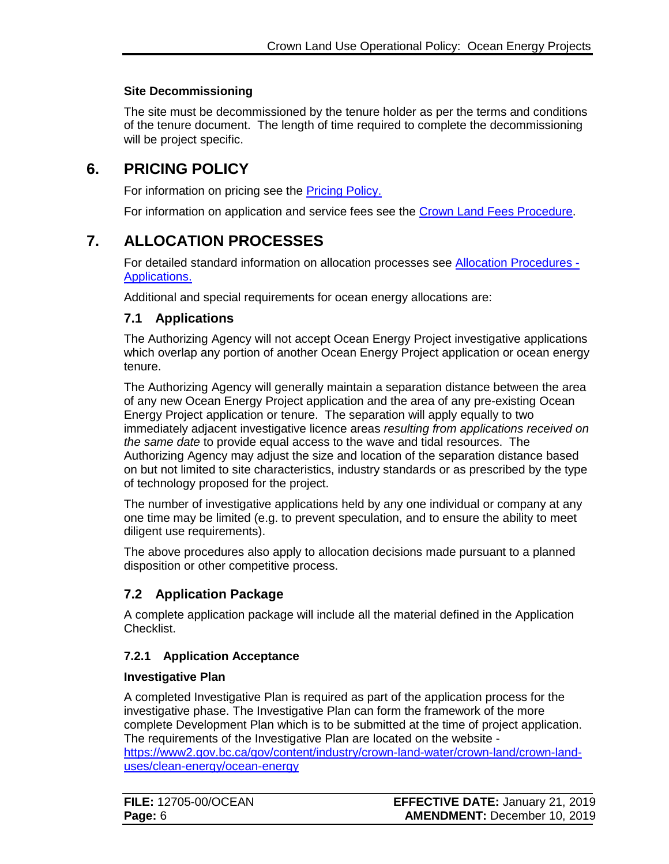### **Site Decommissioning**

The site must be decommissioned by the tenure holder as per the terms and conditions of the tenure document. The length of time required to complete the decommissioning will be project specific.

# **6. PRICING POLICY**

<span id="page-8-0"></span>For information on pricing see the **Pricing Policy.** 

For information on application and service fees see the [Crown Land Fees Procedure.](https://www2.gov.bc.ca/assets/gov/farming-natural-resources-and-industry/natural-resource-use/land-water-use/crown-land/fees.pdf)

# **7. ALLOCATION PROCESSES**

<span id="page-8-1"></span>For detailed standard information on allocation processes see [Allocation Procedures -](https://www2.gov.bc.ca/assets/gov/farming-natural-resources-and-industry/natural-resource-use/land-water-use/crown-land/ap_applications.pdf) [Applications.](https://www2.gov.bc.ca/assets/gov/farming-natural-resources-and-industry/natural-resource-use/land-water-use/crown-land/ap_applications.pdf)

Additional and special requirements for ocean energy allocations are:

## <span id="page-8-2"></span>**7.1 Applications**

The Authorizing Agency will not accept Ocean Energy Project investigative applications which overlap any portion of another Ocean Energy Project application or ocean energy tenure.

The Authorizing Agency will generally maintain a separation distance between the area of any new Ocean Energy Project application and the area of any pre-existing Ocean Energy Project application or tenure. The separation will apply equally to two immediately adjacent investigative licence areas *resulting from applications received on the same date* to provide equal access to the wave and tidal resources. The Authorizing Agency may adjust the size and location of the separation distance based on but not limited to site characteristics, industry standards or as prescribed by the type of technology proposed for the project.

The number of investigative applications held by any one individual or company at any one time may be limited (e.g. to prevent speculation, and to ensure the ability to meet diligent use requirements).

The above procedures also apply to allocation decisions made pursuant to a planned disposition or other competitive process.

# <span id="page-8-3"></span>**7.2 Application Package**

A complete application package will include all the material defined in the Application Checklist.

## <span id="page-8-4"></span>**7.2.1 Application Acceptance**

#### **Investigative Plan**

A completed Investigative Plan is required as part of the application process for the investigative phase. The Investigative Plan can form the framework of the more complete Development Plan which is to be submitted at the time of project application. The requirements of the Investigative Plan are located on the website [https://www2.gov.bc.ca/gov/content/industry/crown-land-water/crown-land/crown-land](https://www2.gov.bc.ca/gov/content?id=A079A8A05E444FB1BF35E8278B3A5A86)[uses/clean-energy/ocean-energy](https://www2.gov.bc.ca/gov/content?id=A079A8A05E444FB1BF35E8278B3A5A86)

| <b>FILE: 12705-00/OCEAN</b> | <b>EFFECTIVE DATE: January 21, 2019</b> |
|-----------------------------|-----------------------------------------|
| Page: 6                     | <b>AMENDMENT: December 10, 2019</b>     |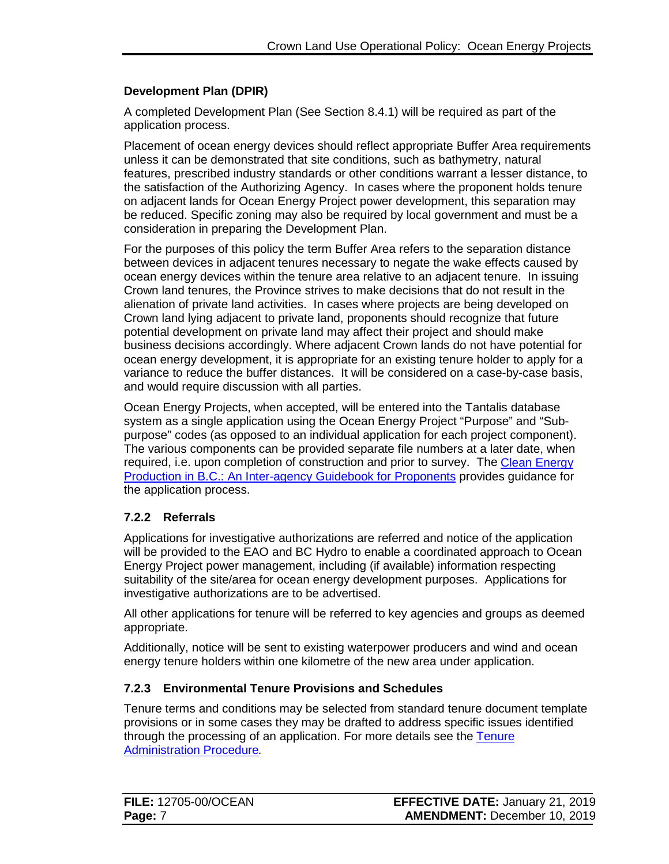### <span id="page-9-2"></span>**Development Plan (DPIR)**

A completed Development Plan (See Section 8.4.1) will be required as part of the application process.

Placement of ocean energy devices should reflect appropriate Buffer Area requirements unless it can be demonstrated that site conditions, such as bathymetry, natural features, prescribed industry standards or other conditions warrant a lesser distance, to the satisfaction of the Authorizing Agency. In cases where the proponent holds tenure on adjacent lands for Ocean Energy Project power development, this separation may be reduced. Specific zoning may also be required by local government and must be a consideration in preparing the Development Plan.

For the purposes of this policy the term Buffer Area refers to the separation distance between devices in adjacent tenures necessary to negate the wake effects caused by ocean energy devices within the tenure area relative to an adjacent tenure. In issuing Crown land tenures, the Province strives to make decisions that do not result in the alienation of private land activities. In cases where projects are being developed on Crown land lying adjacent to private land, proponents should recognize that future potential development on private land may affect their project and should make business decisions accordingly. Where adjacent Crown lands do not have potential for ocean energy development, it is appropriate for an existing tenure holder to apply for a variance to reduce the buffer distances. It will be considered on a case-by-case basis, and would require discussion with all parties.

Ocean Energy Projects, when accepted, will be entered into the Tantalis database system as a single application using the Ocean Energy Project "Purpose" and "Subpurpose" codes (as opposed to an individual application for each project component). The various components can be provided separate file numbers at a later date, when required, i.e. upon completion of construction and prior to survey. The [Clean Energy](https://www2.gov.bc.ca/assets/gov/farming-natural-resources-and-industry/natural-resource-use/land-water-use/crown-land/land-use-plans-and-objectives/natural-resource-major-projects/major-projects-office/guidebooks/clean-energy-projects/clean_energy_guidebook.pdf) [Production in B.C.: An Inter-agency Guidebook for Proponents](https://www2.gov.bc.ca/assets/gov/farming-natural-resources-and-industry/natural-resource-use/land-water-use/crown-land/land-use-plans-and-objectives/natural-resource-major-projects/major-projects-office/guidebooks/clean-energy-projects/clean_energy_guidebook.pdf) provides guidance for the application process.

## <span id="page-9-0"></span>**7.2.2 Referrals**

Applications for investigative authorizations are referred and notice of the application will be provided to the EAO and BC Hydro to enable a coordinated approach to Ocean Energy Project power management, including (if available) information respecting suitability of the site/area for ocean energy development purposes. Applications for investigative authorizations are to be advertised.

All other applications for tenure will be referred to key agencies and groups as deemed appropriate.

Additionally, notice will be sent to existing waterpower producers and wind and ocean energy tenure holders within one kilometre of the new area under application.

#### <span id="page-9-1"></span>**7.2.3 Environmental Tenure Provisions and Schedules**

Tenure terms and conditions may be selected from standard tenure document template provisions or in some cases they may be drafted to address specific issues identified through the processing of an application. For more details see the [Tenure](https://www2.gov.bc.ca/assets/gov/farming-natural-resources-and-industry/natural-resource-use/land-water-use/crown-land/ta_general.pdf)  [Administration Procedure](https://www2.gov.bc.ca/assets/gov/farming-natural-resources-and-industry/natural-resource-use/land-water-use/crown-land/ta_general.pdf)*.*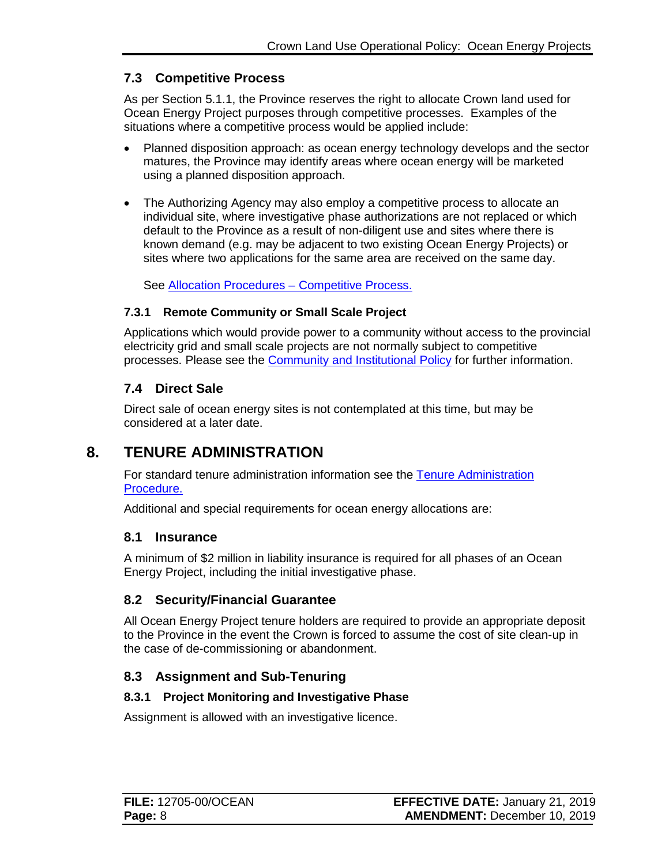## <span id="page-10-7"></span>**7.3 Competitive Process**

As per Section 5.1.1, the Province reserves the right to allocate Crown land used for Ocean Energy Project purposes through competitive processes. Examples of the situations where a competitive process would be applied include:

- Planned disposition approach: as ocean energy technology develops and the sector matures, the Province may identify areas where ocean energy will be marketed using a planned disposition approach.
- The Authorizing Agency may also employ a competitive process to allocate an individual site, where investigative phase authorizations are not replaced or which default to the Province as a result of non-diligent use and sites where there is known demand (e.g. may be adjacent to two existing Ocean Energy Projects) or sites where two applications for the same area are received on the same day.

See [Allocation Procedures –](https://www2.gov.bc.ca/assets/gov/farming-natural-resources-and-industry/natural-resource-use/land-water-use/crown-land/ap_comp_process.pdf) Competitive Process.

### <span id="page-10-0"></span>**7.3.1 Remote Community or Small Scale Project**

Applications which would provide power to a community without access to the provincial electricity grid and small scale projects are not normally subject to competitive processes. Please see the [Community and Institutional Policy](https://www2.gov.bc.ca/assets/gov/farming-natural-resources-and-industry/natural-resource-use/land-water-use/crown-land/community_inst.pdf) for further information.

## <span id="page-10-1"></span>**7.4 Direct Sale**

Direct sale of ocean energy sites is not contemplated at this time, but may be considered at a later date.

# **8. TENURE ADMINISTRATION**

<span id="page-10-2"></span>For standard tenure administration information see the [Tenure Administration](https://www2.gov.bc.ca/assets/gov/farming-natural-resources-and-industry/natural-resource-use/land-water-use/crown-land/ta_general.pdf)  [Procedure.](https://www2.gov.bc.ca/assets/gov/farming-natural-resources-and-industry/natural-resource-use/land-water-use/crown-land/ta_general.pdf)

Additional and special requirements for ocean energy allocations are:

## <span id="page-10-3"></span>**8.1 Insurance**

A minimum of \$2 million in liability insurance is required for all phases of an Ocean Energy Project, including the initial investigative phase.

## <span id="page-10-4"></span>**8.2 Security/Financial Guarantee**

All Ocean Energy Project tenure holders are required to provide an appropriate deposit to the Province in the event the Crown is forced to assume the cost of site clean-up in the case of de-commissioning or abandonment.

## <span id="page-10-5"></span>**8.3 Assignment and Sub-Tenuring**

#### <span id="page-10-6"></span>**8.3.1 Project Monitoring and Investigative Phase**

Assignment is allowed with an investigative licence.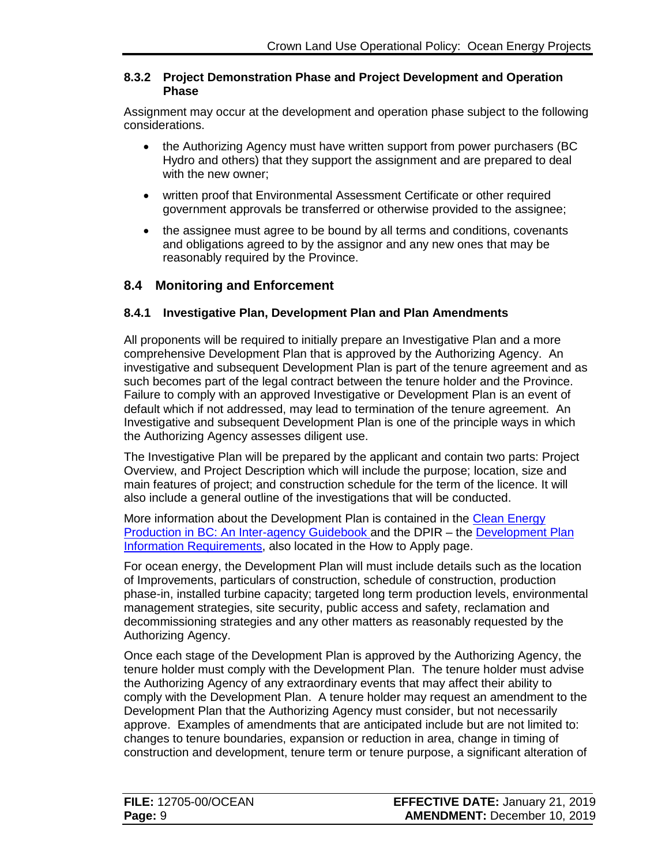#### **8.3.2 Project Demonstration Phase and Project Development and Operation Phase**

Assignment may occur at the development and operation phase subject to the following considerations.

- the Authorizing Agency must have written support from power purchasers (BC Hydro and others) that they support the assignment and are prepared to deal with the new owner;
- written proof that Environmental Assessment Certificate or other required government approvals be transferred or otherwise provided to the assignee;
- the assignee must agree to be bound by all terms and conditions, covenants and obligations agreed to by the assignor and any new ones that may be reasonably required by the Province.

## <span id="page-11-0"></span>**8.4 Monitoring and Enforcement**

### <span id="page-11-1"></span>**8.4.1 Investigative Plan, Development Plan and Plan Amendments**

All proponents will be required to initially prepare an Investigative Plan and a more comprehensive Development Plan that is approved by the Authorizing Agency. An investigative and subsequent Development Plan is part of the tenure agreement and as such becomes part of the legal contract between the tenure holder and the Province. Failure to comply with an approved Investigative or Development Plan is an event of default which if not addressed, may lead to termination of the tenure agreement. An Investigative and subsequent Development Plan is one of the principle ways in which the Authorizing Agency assesses diligent use.

The Investigative Plan will be prepared by the applicant and contain two parts: Project Overview, and Project Description which will include the purpose; location, size and main features of project; and construction schedule for the term of the licence. It will also include a general outline of the investigations that will be conducted.

More information about the Development Plan is contained in the [Clean Energy](https://www2.gov.bc.ca/assets/gov/farming-natural-resources-and-industry/natural-resource-use/land-water-use/crown-land/land-use-plans-and-objectives/natural-resource-major-projects/major-projects-office/guidebooks/clean-energy-projects/clean_energy_guidebook.pdf)  [Production in BC: An Inter-agency Guidebook](https://www2.gov.bc.ca/assets/gov/farming-natural-resources-and-industry/natural-resource-use/land-water-use/crown-land/land-use-plans-and-objectives/natural-resource-major-projects/major-projects-office/guidebooks/clean-energy-projects/clean_energy_guidebook.pdf) and the DPIR – the [Development Plan](http://www2.gov.bc.ca/assets/gov/farming-natural-resources-and-industry/natural-resource-use/land-water-use/crown-land/checklist-ocean_energy.pdf)  [Information Requirements,](http://www2.gov.bc.ca/assets/gov/farming-natural-resources-and-industry/natural-resource-use/land-water-use/crown-land/checklist-ocean_energy.pdf) also located in the How to Apply page.

For ocean energy, the Development Plan will must include details such as the location of Improvements, particulars of construction, schedule of construction, production phase-in, installed turbine capacity; targeted long term production levels, environmental management strategies, site security, public access and safety, reclamation and decommissioning strategies and any other matters as reasonably requested by the Authorizing Agency.

Once each stage of the Development Plan is approved by the Authorizing Agency, the tenure holder must comply with the Development Plan. The tenure holder must advise the Authorizing Agency of any extraordinary events that may affect their ability to comply with the Development Plan. A tenure holder may request an amendment to the Development Plan that the Authorizing Agency must consider, but not necessarily approve. Examples of amendments that are anticipated include but are not limited to: changes to tenure boundaries, expansion or reduction in area, change in timing of construction and development, tenure term or tenure purpose, a significant alteration of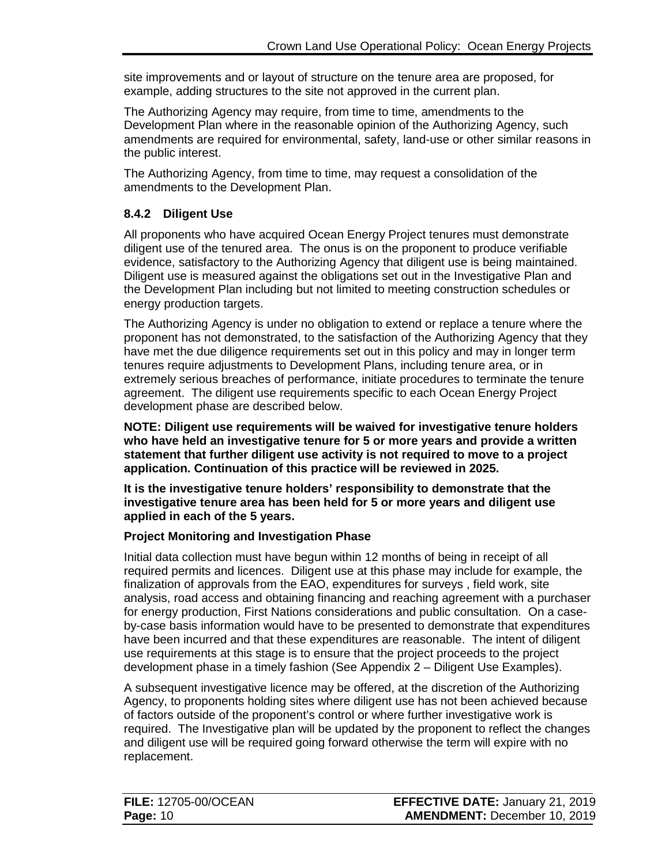site improvements and or layout of structure on the tenure area are proposed, for example, adding structures to the site not approved in the current plan.

The Authorizing Agency may require, from time to time, amendments to the Development Plan where in the reasonable opinion of the Authorizing Agency, such amendments are required for environmental, safety, land-use or other similar reasons in the public interest.

The Authorizing Agency, from time to time, may request a consolidation of the amendments to the Development Plan.

## <span id="page-12-0"></span>**8.4.2 Diligent Use**

All proponents who have acquired Ocean Energy Project tenures must demonstrate diligent use of the tenured area. The onus is on the proponent to produce verifiable evidence, satisfactory to the Authorizing Agency that diligent use is being maintained. Diligent use is measured against the obligations set out in the Investigative Plan and the Development Plan including but not limited to meeting construction schedules or energy production targets.

The Authorizing Agency is under no obligation to extend or replace a tenure where the proponent has not demonstrated, to the satisfaction of the Authorizing Agency that they have met the due diligence requirements set out in this policy and may in longer term tenures require adjustments to Development Plans, including tenure area, or in extremely serious breaches of performance, initiate procedures to terminate the tenure agreement. The diligent use requirements specific to each Ocean Energy Project development phase are described below.

**NOTE: Diligent use requirements will be waived for investigative tenure holders who have held an investigative tenure for 5 or more years and provide a written statement that further diligent use activity is not required to move to a project application. Continuation of this practice will be reviewed in 2025.** 

**It is the investigative tenure holders' responsibility to demonstrate that the investigative tenure area has been held for 5 or more years and diligent use applied in each of the 5 years.**

## **Project Monitoring and Investigation Phase**

Initial data collection must have begun within 12 months of being in receipt of all required permits and licences. Diligent use at this phase may include for example, the finalization of approvals from the EAO, expenditures for surveys , field work, site analysis, road access and obtaining financing and reaching agreement with a purchaser for energy production, First Nations considerations and public consultation. On a caseby-case basis information would have to be presented to demonstrate that expenditures have been incurred and that these expenditures are reasonable. The intent of diligent use requirements at this stage is to ensure that the project proceeds to the project development phase in a timely fashion (See Appendix 2 – Diligent Use Examples).

A subsequent investigative licence may be offered, at the discretion of the Authorizing Agency, to proponents holding sites where diligent use has not been achieved because of factors outside of the proponent's control or where further investigative work is required. The Investigative plan will be updated by the proponent to reflect the changes and diligent use will be required going forward otherwise the term will expire with no replacement.

| <b>FILE: 12705-00/OCEAN</b> | <b>EFFECTIVE DATE: January 21, 2019</b> |
|-----------------------------|-----------------------------------------|
| <b>Page: 10</b>             | <b>AMENDMENT: December 10, 2019</b>     |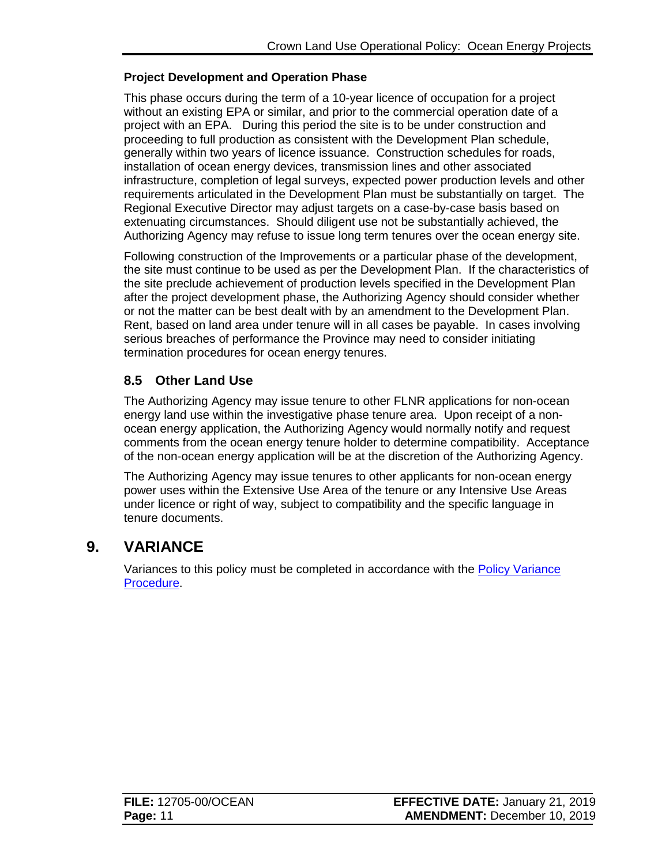### **Project Development and Operation Phase**

This phase occurs during the term of a 10-year licence of occupation for a project without an existing EPA or similar, and prior to the commercial operation date of a project with an EPA. During this period the site is to be under construction and proceeding to full production as consistent with the Development Plan schedule, generally within two years of licence issuance. Construction schedules for roads, installation of ocean energy devices, transmission lines and other associated infrastructure, completion of legal surveys, expected power production levels and other requirements articulated in the Development Plan must be substantially on target. The Regional Executive Director may adjust targets on a case-by-case basis based on extenuating circumstances. Should diligent use not be substantially achieved, the Authorizing Agency may refuse to issue long term tenures over the ocean energy site.

Following construction of the Improvements or a particular phase of the development, the site must continue to be used as per the Development Plan. If the characteristics of the site preclude achievement of production levels specified in the Development Plan after the project development phase, the Authorizing Agency should consider whether or not the matter can be best dealt with by an amendment to the Development Plan. Rent, based on land area under tenure will in all cases be payable. In cases involving serious breaches of performance the Province may need to consider initiating termination procedures for ocean energy tenures.

# <span id="page-13-0"></span>**8.5 Other Land Use**

The Authorizing Agency may issue tenure to other FLNR applications for non-ocean energy land use within the investigative phase tenure area. Upon receipt of a nonocean energy application, the Authorizing Agency would normally notify and request comments from the ocean energy tenure holder to determine compatibility. Acceptance of the non-ocean energy application will be at the discretion of the Authorizing Agency.

The Authorizing Agency may issue tenures to other applicants for non-ocean energy power uses within the Extensive Use Area of the tenure or any Intensive Use Areas under licence or right of way, subject to compatibility and the specific language in tenure documents.

# **9. VARIANCE**

<span id="page-13-1"></span>Variances to this policy must be completed in accordance with the [Policy Variance](http://www2.gov.bc.ca/assets/gov/farming-natural-resources-and-industry/natural-resource-use/land-water-use/crown-land/variance.pdf)  [Procedure.](http://www2.gov.bc.ca/assets/gov/farming-natural-resources-and-industry/natural-resource-use/land-water-use/crown-land/variance.pdf)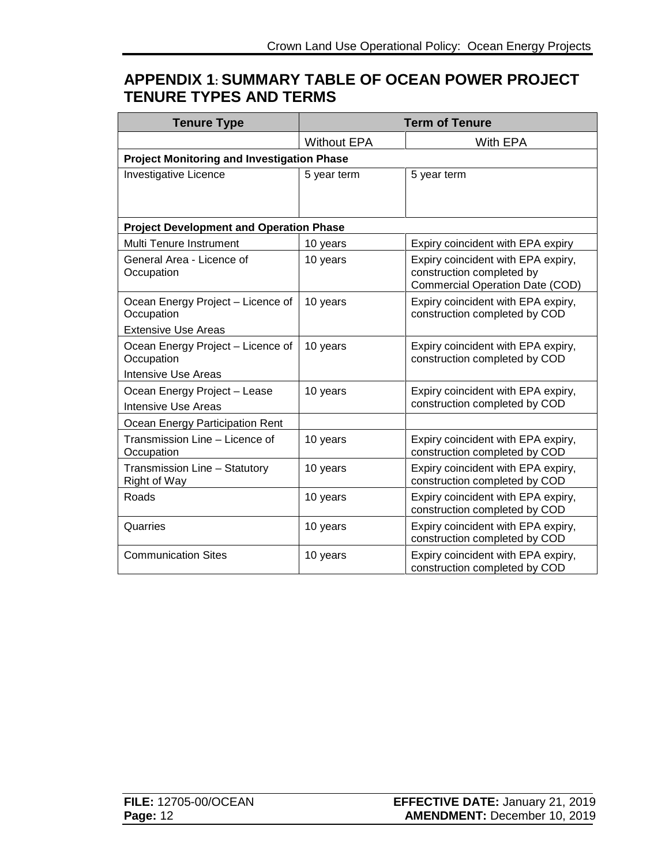# <span id="page-14-0"></span>**APPENDIX 1: SUMMARY TABLE OF OCEAN POWER PROJECT TENURE TYPES AND TERMS**

| <b>Tenure Type</b>                                                            | <b>Term of Tenure</b> |                                                                                                           |
|-------------------------------------------------------------------------------|-----------------------|-----------------------------------------------------------------------------------------------------------|
|                                                                               | <b>Without EPA</b>    | With EPA                                                                                                  |
| <b>Project Monitoring and Investigation Phase</b>                             |                       |                                                                                                           |
| <b>Investigative Licence</b>                                                  | 5 year term           | 5 year term                                                                                               |
| <b>Project Development and Operation Phase</b>                                |                       |                                                                                                           |
| Multi Tenure Instrument                                                       | 10 years              | Expiry coincident with EPA expiry                                                                         |
| General Area - Licence of<br>Occupation                                       | 10 years              | Expiry coincident with EPA expiry,<br>construction completed by<br><b>Commercial Operation Date (COD)</b> |
| Ocean Energy Project - Licence of<br>Occupation<br><b>Extensive Use Areas</b> | 10 years              | Expiry coincident with EPA expiry,<br>construction completed by COD                                       |
| Ocean Energy Project - Licence of<br>Occupation                               | 10 years              | Expiry coincident with EPA expiry,<br>construction completed by COD                                       |
| <b>Intensive Use Areas</b>                                                    |                       |                                                                                                           |
| Ocean Energy Project - Lease<br><b>Intensive Use Areas</b>                    | 10 years              | Expiry coincident with EPA expiry,<br>construction completed by COD                                       |
| Ocean Energy Participation Rent                                               |                       |                                                                                                           |
| Transmission Line - Licence of<br>Occupation                                  | 10 years              | Expiry coincident with EPA expiry,<br>construction completed by COD                                       |
| Transmission Line - Statutory<br>Right of Way                                 | 10 years              | Expiry coincident with EPA expiry,<br>construction completed by COD                                       |
| Roads                                                                         | 10 years              | Expiry coincident with EPA expiry,<br>construction completed by COD                                       |
| Quarries                                                                      | 10 years              | Expiry coincident with EPA expiry,<br>construction completed by COD                                       |
| <b>Communication Sites</b>                                                    | 10 years              | Expiry coincident with EPA expiry,<br>construction completed by COD                                       |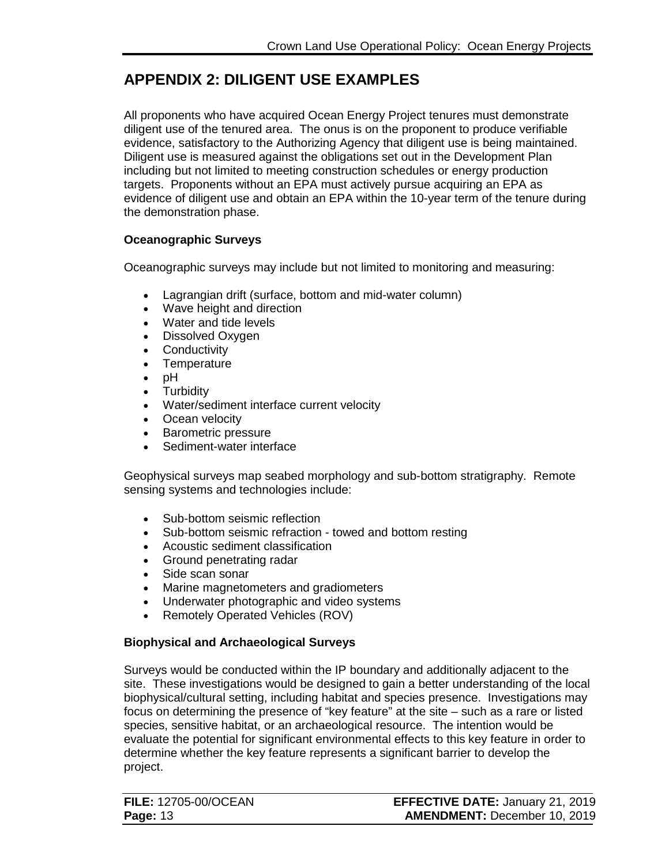# <span id="page-15-0"></span>**APPENDIX 2: DILIGENT USE EXAMPLES**

All proponents who have acquired Ocean Energy Project tenures must demonstrate diligent use of the tenured area. The onus is on the proponent to produce verifiable evidence, satisfactory to the Authorizing Agency that diligent use is being maintained. Diligent use is measured against the obligations set out in the Development Plan including but not limited to meeting construction schedules or energy production targets. Proponents without an EPA must actively pursue acquiring an EPA as evidence of diligent use and obtain an EPA within the 10-year term of the tenure during the demonstration phase.

### **Oceanographic Surveys**

Oceanographic surveys may include but not limited to monitoring and measuring:

- Lagrangian drift (surface, bottom and mid-water column)
- Wave height and direction
- Water and tide levels
- Dissolved Oxygen
- Conductivity
- Temperature
- pH
- **Turbidity**
- Water/sediment interface current velocity
- Ocean velocity
- Barometric pressure
- Sediment-water interface

Geophysical surveys map seabed morphology and sub-bottom stratigraphy. Remote sensing systems and technologies include:

- Sub-bottom seismic reflection
- Sub-bottom seismic refraction towed and bottom resting
- Acoustic sediment classification
- Ground penetrating radar
- Side scan sonar
- Marine magnetometers and gradiometers
- Underwater photographic and video systems
- Remotely Operated Vehicles (ROV)

## **Biophysical and Archaeological Surveys**

Surveys would be conducted within the IP boundary and additionally adjacent to the site. These investigations would be designed to gain a better understanding of the local biophysical/cultural setting, including habitat and species presence. Investigations may focus on determining the presence of "key feature" at the site – such as a rare or listed species, sensitive habitat, or an archaeological resource. The intention would be evaluate the potential for significant environmental effects to this key feature in order to determine whether the key feature represents a significant barrier to develop the project.

| <b>FILE: 12705-00/OCEAN</b> | <b>EFFECTIVE DATE: January 21, 2019</b> |
|-----------------------------|-----------------------------------------|
| <b>Page: 13</b>             | <b>AMENDMENT: December 10, 2019</b>     |